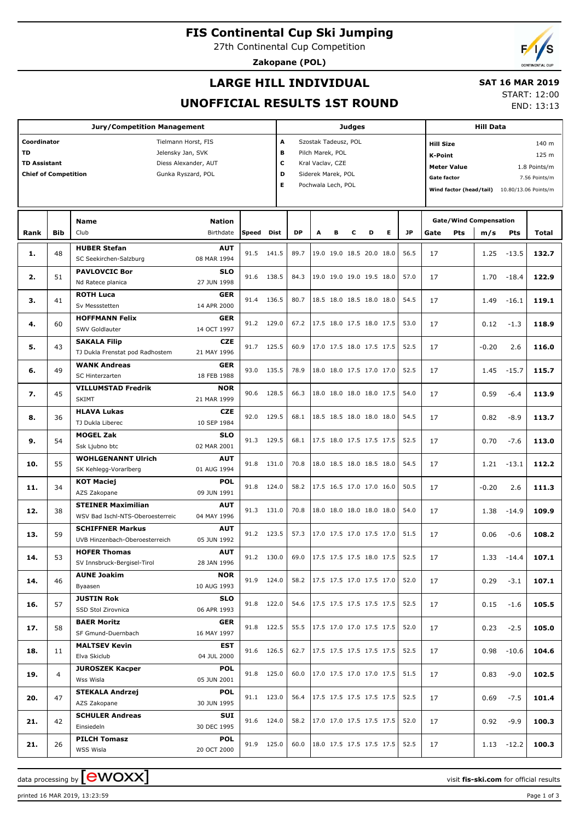**FIS Continental Cup Ski Jumping**

27th Continental Cup Competition

**Zakopane (POL)**

## **LARGE HILL INDIVIDUAL**

#### **SAT 16 MAR 2019**

**UNOFFICIAL RESULTS 1ST ROUND**

START: 12:00 END: 13:13

| <b>Jury/Competition Management</b>                                                               |            |                                                               |                           |       |              | Judges |                                                                              |   |   |                                          |           | <b>Hill Data</b> |                                                                                                                              |                                                      |               |       |  |  |
|--------------------------------------------------------------------------------------------------|------------|---------------------------------------------------------------|---------------------------|-------|--------------|--------|------------------------------------------------------------------------------|---|---|------------------------------------------|-----------|------------------|------------------------------------------------------------------------------------------------------------------------------|------------------------------------------------------|---------------|-------|--|--|
| Coordinator<br>Tielmann Horst, FIS<br><b>TD</b><br>Jelensky Jan, SVK                             |            |                                                               |                           |       |              |        | A<br>Szostak Tadeusz, POL<br>в<br>Pilch Marek, POL                           |   |   |                                          |           |                  |                                                                                                                              | 140 m<br><b>Hill Size</b><br>125 m<br><b>K-Point</b> |               |       |  |  |
| <b>TD Assistant</b><br>Diess Alexander, AUT<br><b>Chief of Competition</b><br>Gunka Ryszard, POL |            |                                                               |                           |       |              |        | c<br>Kral Vaclav, CZE<br>D<br>Siderek Marek, POL<br>E.<br>Pochwala Lech, POL |   |   |                                          |           |                  | <b>Meter Value</b><br>1.8 Points/m<br><b>Gate factor</b><br>7.56 Points/m<br>Wind factor (head/tail)<br>10.80/13.06 Points/m |                                                      |               |       |  |  |
|                                                                                                  |            | <b>Name</b>                                                   | <b>Nation</b>             |       |              |        |                                                                              |   |   |                                          |           |                  | <b>Gate/Wind Compensation</b>                                                                                                |                                                      |               |       |  |  |
| Rank                                                                                             | <b>Bib</b> | Club                                                          | Birthdate                 | Speed | Dist         | DP     | A                                                                            | в | c | Е<br>D                                   | <b>JP</b> | Gate             | <b>Pts</b>                                                                                                                   | m/s                                                  | Pts           | Total |  |  |
| 1.                                                                                               | 48         | <b>HUBER Stefan</b><br>SC Seekirchen-Salzburg                 | <b>AUT</b><br>08 MAR 1994 | 91.5  | 141.5        | 89.7   |                                                                              |   |   | 19.0 19.0 18.5 20.0 18.0                 | 56.5      | 17               |                                                                                                                              |                                                      | $1.25 - 13.5$ | 132.7 |  |  |
| 2.                                                                                               | 51         | <b>PAVLOVCIC Bor</b><br>Nd Ratece planica                     | SLO<br>27 JUN 1998        | 91.6  | 138.5        | 84.3   |                                                                              |   |   | 19.0 19.0 19.0 19.5 18.0                 | 57.0      | 17               |                                                                                                                              | 1.70                                                 | $-18.4$       | 122.9 |  |  |
| з.                                                                                               | 41         | <b>ROTH Luca</b>                                              | GER                       | 91.4  | 136.5        | 80.7   |                                                                              |   |   | 18.5 18.0 18.5 18.0 18.0                 | 54.5      | 17               |                                                                                                                              | 1.49                                                 | $-16.1$       | 119.1 |  |  |
|                                                                                                  |            | Sv Messstetten<br><b>HOFFMANN Felix</b>                       | 14 APR 2000<br><b>GER</b> |       |              |        |                                                                              |   |   |                                          |           |                  |                                                                                                                              |                                                      |               |       |  |  |
| 4.                                                                                               | 60         | SWV Goldlauter                                                | 14 OCT 1997               | 91.2  | 129.0        | 67.2   |                                                                              |   |   | 17.5 18.0 17.5 18.0 17.5                 | 53.0      | 17               |                                                                                                                              | 0.12                                                 | $-1.3$        | 118.9 |  |  |
| 5.                                                                                               | 43         | <b>SAKALA Filip</b><br>TJ Dukla Frenstat pod Radhostem        | <b>CZE</b><br>21 MAY 1996 | 91.7  | 125.5        | 60.9   |                                                                              |   |   | 17.0 17.5 18.0 17.5 17.5                 | 52.5      | 17               |                                                                                                                              | $-0.20$                                              | 2.6           | 116.0 |  |  |
| 6.                                                                                               | 49         | <b>WANK Andreas</b><br>SC Hinterzarten                        | <b>GER</b><br>18 FEB 1988 | 93.0  | 135.5        | 78.9   |                                                                              |   |   | 18.0 18.0 17.5 17.0 17.0                 | 52.5      | 17               |                                                                                                                              | 1.45                                                 | $-15.7$       | 115.7 |  |  |
| 7.                                                                                               | 45         | <b>VILLUMSTAD Fredrik</b><br><b>SKIMT</b>                     | <b>NOR</b><br>21 MAR 1999 | 90.6  | 128.5        | 66.3   |                                                                              |   |   | 18.0 18.0 18.0 18.0 17.5                 | 54.0      | 17               |                                                                                                                              | 0.59                                                 | $-6.4$        | 113.9 |  |  |
| 8.                                                                                               | 36         | <b>HLAVA Lukas</b>                                            | <b>CZE</b>                | 92.0  | 129.5        | 68.1   |                                                                              |   |   | 18.5 18.5 18.0 18.0 18.0                 | 54.5      | 17               |                                                                                                                              | 0.82                                                 | $-8.9$        | 113.7 |  |  |
| 9.                                                                                               | 54         | TJ Dukla Liberec<br><b>MOGEL Zak</b>                          | 10 SEP 1984<br><b>SLO</b> | 91.3  | 129.5        | 68.1   |                                                                              |   |   | 17.5 18.0 17.5 17.5 17.5                 | 52.5      | 17               |                                                                                                                              | 0.70                                                 | $-7.6$        | 113.0 |  |  |
|                                                                                                  |            | Ssk Ljubno btc<br><b>WOHLGENANNT Ulrich</b>                   | 02 MAR 2001<br><b>AUT</b> |       |              |        |                                                                              |   |   |                                          |           |                  |                                                                                                                              |                                                      |               |       |  |  |
| 10.                                                                                              | 55         | SK Kehlegg-Vorarlberg<br><b>KOT Maciej</b>                    | 01 AUG 1994<br>POL        | 91.8  | 131.0        | 70.8   |                                                                              |   |   | 18.0 18.5 18.0 18.5 18.0                 | 54.5      | 17               |                                                                                                                              |                                                      | $1.21 - 13.1$ | 112.2 |  |  |
| 11.                                                                                              | 34         | AZS Zakopane                                                  | 09 JUN 1991               | 91.8  | 124.0        | 58.2   |                                                                              |   |   | 17.5 16.5 17.0 17.0 16.0                 | 50.5      | 17               |                                                                                                                              | $-0.20$                                              | 2.6           | 111.3 |  |  |
| 12.                                                                                              | 38         | <b>STEINER Maximilian</b><br>WSV Bad Ischl-NTS-Oberoesterreic | <b>AUT</b><br>04 MAY 1996 | 91.3  | 131.0        | 70.8   |                                                                              |   |   | 18.0 18.0 18.0 18.0 18.0                 | 54.0      | 17               |                                                                                                                              | 1.38                                                 | $-14.9$       | 109.9 |  |  |
| 13.                                                                                              | 59         | <b>SCHIFFNER Markus</b><br>UVB Hinzenbach-Oberoesterreich     | <b>AUT</b><br>05 JUN 1992 |       | 91.2 123.5   | 57.3   |                                                                              |   |   | 17.0 17.5 17.0 17.5 17.0                 | 51.5      | 17               |                                                                                                                              | 0.06                                                 | $-0.6$        | 108.2 |  |  |
| 14.                                                                                              | 53         | <b>HOFER Thomas</b><br>SV Innsbruck-Bergisel-Tirol            | <b>AUT</b><br>28 JAN 1996 |       | $91.2$ 130.0 | 69.0   |                                                                              |   |   | $\vert$ 17.5 17.5 17.5 18.0 17.5 $\vert$ | 52.5      | 17               |                                                                                                                              |                                                      | $1.33 - 14.4$ | 107.1 |  |  |
| 14.                                                                                              | 46         | <b>AUNE Joakim</b><br>Byaasen                                 | <b>NOR</b><br>10 AUG 1993 |       | 91.9 124.0   | 58.2   |                                                                              |   |   | 17.5 17.5 17.0 17.5 17.0                 | 52.0      | 17               |                                                                                                                              | 0.29                                                 | $-3.1$        | 107.1 |  |  |
| 16.                                                                                              | 57         | <b>JUSTIN Rok</b><br>SSD Stol Zirovnica                       | SLO<br>06 APR 1993        |       | 91.8 122.0   | 54.6   |                                                                              |   |   | 17.5 17.5 17.5 17.5 17.5                 | 52.5      | 17               |                                                                                                                              | 0.15                                                 | $-1.6$        | 105.5 |  |  |
| 17.                                                                                              | 58         | <b>BAER Moritz</b><br>SF Gmund-Duernbach                      | <b>GER</b>                |       | 91.8 122.5   | 55.5   |                                                                              |   |   | 17.5 17.0 17.0 17.5 17.5                 | 52.0      | 17               |                                                                                                                              | 0.23                                                 | $-2.5$        | 105.0 |  |  |
| 18.                                                                                              | 11         | <b>MALTSEV Kevin</b>                                          | 16 MAY 1997<br>EST        |       | 91.6 126.5   | 62.7   |                                                                              |   |   | 17.5 17.5 17.5 17.5 17.5                 | 52.5      | 17               |                                                                                                                              |                                                      | $0.98 - 10.6$ | 104.6 |  |  |
| 19.                                                                                              | 4          | Elva Skiclub<br><b>JUROSZEK Kacper</b>                        | 04 JUL 2000<br>POL        |       | 91.8 125.0   | 60.0   |                                                                              |   |   | 17.0 17.5 17.0 17.0 17.5                 | 51.5      | 17               |                                                                                                                              | 0.83                                                 | $-9.0$        | 102.5 |  |  |
|                                                                                                  |            | Wss Wisla<br><b>STEKALA Andrzej</b>                           | 05 JUN 2001<br>POL        |       |              |        |                                                                              |   |   |                                          |           |                  |                                                                                                                              |                                                      |               |       |  |  |
| 20.                                                                                              | 47         | AZS Zakopane<br><b>SCHULER Andreas</b>                        | 30 JUN 1995<br>SUI        |       | 91.1 123.0   | 56.4   |                                                                              |   |   | 17.5 17.5 17.5 17.5 17.5                 | 52.5      | 17               |                                                                                                                              | 0.69                                                 | $-7.5$        | 101.4 |  |  |
| 21.                                                                                              | 42         | Einsiedeln                                                    | 30 DEC 1995               |       | 91.6 124.0   | 58.2   |                                                                              |   |   | 17.0 17.0 17.5 17.5 17.5                 | 52.0      | 17               |                                                                                                                              | 0.92                                                 | $-9.9$        | 100.3 |  |  |
| 21.                                                                                              | 26         | <b>PILCH Tomasz</b><br>WSS Wisla                              | POL<br>20 OCT 2000        |       | 91.9 125.0   | 60.0   |                                                                              |   |   | 18.0 17.5 17.5 17.5 17.5                 | 52.5      | 17               |                                                                                                                              |                                                      | $1.13 - 12.2$ | 100.3 |  |  |

data processing by **CWOXX** and  $\overline{C}$  and  $\overline{C}$  and  $\overline{C}$  and  $\overline{C}$  and  $\overline{C}$  and  $\overline{C}$  and  $\overline{C}$  and  $\overline{C}$  and  $\overline{C}$  and  $\overline{C}$  and  $\overline{C}$  and  $\overline{C}$  and  $\overline{C}$  and  $\overline{C}$  and  $\overline{C}$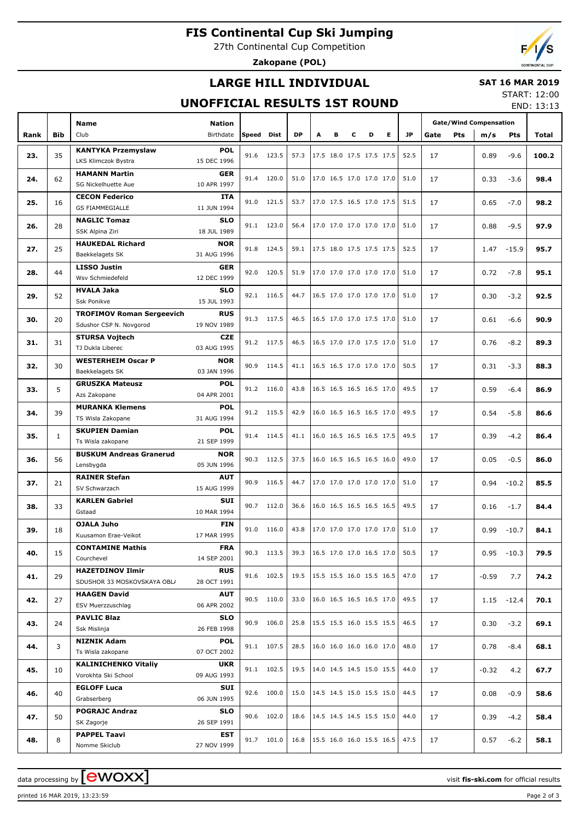# **FIS Continental Cup Ski Jumping**

27th Continental Cup Competition

**Zakopane (POL)**

## **LARGE HILL INDIVIDUAL**

#### **SAT 16 MAR 2019** START: 12:00

### **UNOFFICIAL RESULTS 1ST ROUND**

END: 13:13

|      |              | <b>Name</b>                               |                           |            |            |           |                                      |                          |   |                          |                                      | <b>Gate/Wind Compensation</b> |             |         |               |       |
|------|--------------|-------------------------------------------|---------------------------|------------|------------|-----------|--------------------------------------|--------------------------|---|--------------------------|--------------------------------------|-------------------------------|-------------|---------|---------------|-------|
| Rank | Bib          | Club                                      | Nation<br>Birthdate       | Speed      | Dist       | <b>DP</b> | А                                    | в                        | c | D                        | Е                                    | JP.                           | Pts<br>Gate | m/s     | Pts           | Total |
|      |              | <b>KANTYKA Przemyslaw</b>                 | <b>POL</b>                |            |            |           |                                      |                          |   |                          |                                      |                               |             |         |               |       |
| 23.  | 35           | LKS Klimczok Bystra                       | 15 DEC 1996               |            | 91.6 123.5 | 57.3      |                                      | 17.5 18.0 17.5 17.5 17.5 |   |                          |                                      | 52.5                          | 17          | 0.89    | $-9.6$        | 100.2 |
|      |              | <b>HAMANN Martin</b>                      | <b>GER</b>                |            |            |           |                                      |                          |   |                          |                                      |                               |             |         |               |       |
| 24.  | 62           | SG Nickelhuette Aue                       | 10 APR 1997               |            | 91.4 120.0 | 51.0      |                                      | 17.0 16.5 17.0 17.0 17.0 |   |                          |                                      | 51.0                          | 17          | 0.33    | $-3.6$        | 98.4  |
|      |              | <b>CECON Federico</b>                     | ITA                       |            |            |           |                                      |                          |   |                          |                                      |                               |             |         |               |       |
| 25.  | 16           | <b>GS FIAMMEGIALLE</b>                    | 11 JUN 1994               |            | 91.0 121.5 | 53.7      |                                      | 17.0 17.5 16.5 17.0 17.5 |   |                          |                                      | 51.5                          | 17          | 0.65    | $-7.0$        | 98.2  |
|      |              | <b>NAGLIC Tomaz</b>                       | <b>SLO</b>                |            |            |           |                                      |                          |   |                          |                                      |                               |             |         |               |       |
| 26.  | 28           | SSK Alpina Ziri                           | 18 JUL 1989               |            | 91.1 123.0 | 56.4      |                                      | 17.0 17.0 17.0 17.0 17.0 |   |                          |                                      | 51.0                          | 17          | 0.88    | $-9.5$        | 97.9  |
| 27.  | 25           | <b>HAUKEDAL Richard</b>                   | <b>NOR</b>                |            | 91.8 124.5 | 59.1      | 17.5 18.0 17.5 17.5 17.5             |                          |   |                          |                                      | 52.5                          | 17          | 1.47    | $-15.9$       | 95.7  |
|      |              | Baekkelagets SK                           | 31 AUG 1996               |            |            |           |                                      |                          |   |                          |                                      |                               |             |         |               |       |
| 28.  | 44           | <b>LISSO Justin</b>                       | <b>GER</b>                |            | 92.0 120.5 | 51.9      |                                      | 17.0 17.0 17.0 17.0 17.0 |   |                          |                                      | 51.0                          | 17          | 0.72    | $-7.8$        | 95.1  |
|      |              | Wsv Schmiedefeld                          | 12 DEC 1999               |            |            |           |                                      |                          |   |                          |                                      |                               |             |         |               |       |
| 29.  | 52           | <b>HVALA Jaka</b>                         | <b>SLO</b>                |            | 92.1 116.5 | 44.7      |                                      |                          |   | 16.5 17.0 17.0 17.0 17.0 |                                      | 51.0                          | 17          | 0.30    | $-3.2$        | 92.5  |
|      |              | Ssk Ponikve                               | 15 JUL 1993               |            |            |           |                                      |                          |   |                          |                                      |                               |             |         |               |       |
| 30.  | 20           | <b>TROFIMOV Roman Sergeevich</b>          | <b>RUS</b>                |            | 91.3 117.5 | 46.5      |                                      |                          |   | 16.5 17.0 17.0 17.5 17.0 |                                      | 51.0                          | 17          | 0.61    | $-6.6$        | 90.9  |
|      |              | Sdushor CSP N. Novgorod                   | 19 NOV 1989               |            |            |           |                                      |                          |   |                          |                                      |                               |             |         |               |       |
| 31.  | 31           | <b>STURSA Vojtech</b><br>TJ Dukla Liberec | <b>CZE</b><br>03 AUG 1995 |            | 91.2 117.5 | 46.5      | 16.5 17.0 17.0 17.5 17.0             |                          |   |                          |                                      | 51.0                          | 17          | 0.76    | $-8.2$        | 89.3  |
|      |              | <b>WESTERHEIM Oscar P</b>                 | <b>NOR</b>                |            |            |           |                                      |                          |   |                          |                                      |                               |             |         |               |       |
| 32.  | 30           | Baekkelagets SK                           | 03 JAN 1996               | 90.9       | 114.5      | 41.1      | $16.5$ 16.5 17.0 17.0 17.0           |                          |   |                          |                                      | 50.5                          | 17          | 0.31    | $-3.3$        | 88.3  |
|      |              | <b>GRUSZKA Mateusz</b>                    | <b>POL</b>                |            |            |           |                                      |                          |   |                          |                                      |                               |             |         |               |       |
| 33.  | 5            | Azs Zakopane                              | 04 APR 2001               |            | 91.2 116.0 | 43.8      |                                      | 16.5 16.5 16.5 16.5 17.0 |   |                          |                                      | 49.5                          | 17          | 0.59    | $-6.4$        | 86.9  |
|      |              | <b>MURANKA Klemens</b>                    | <b>POL</b>                |            |            |           |                                      |                          |   |                          |                                      |                               |             |         |               |       |
| 34.  | 39           | TS Wisla Zakopane                         | 31 AUG 1994               |            | 91.2 115.5 | 42.9      |                                      | 16.0 16.5 16.5 16.5 17.0 |   |                          |                                      | 49.5                          | 17          | 0.54    | $-5.8$        | 86.6  |
|      |              | <b>SKUPIEN Damian</b>                     | <b>POL</b>                | 91.4 114.5 |            |           |                                      |                          |   |                          |                                      |                               |             |         |               |       |
| 35.  | $\mathbf{1}$ | Ts Wisla zakopane                         | 21 SEP 1999               |            |            | 41.1      |                                      | 16.0 16.5 16.5 16.5 17.5 |   |                          |                                      | 49.5                          | 17          | 0.39    | $-4.2$        | 86.4  |
| 36.  | 56           | <b>BUSKUM Andreas Granerud</b>            | <b>NOR</b>                |            | 90.3 112.5 | 37.5      |                                      | 16.0 16.5 16.5 16.5 16.0 |   |                          |                                      | 49.0                          | 17          | 0.05    | $-0.5$        | 86.0  |
|      |              | Lensbygda                                 | 05 JUN 1996               |            |            |           |                                      |                          |   |                          |                                      |                               |             |         |               |       |
| 37.  | 21           | <b>RAINER Stefan</b>                      | <b>AUT</b>                | 90.9       | 116.5      | 44.7      |                                      | 17.0 17.0 17.0 17.0 17.0 |   |                          |                                      | 51.0                          | 17          | 0.94    | $-10.2$       | 85.5  |
|      |              | SV Schwarzach                             | 15 AUG 1999               |            |            |           |                                      |                          |   |                          |                                      |                               |             |         |               |       |
| 38.  | 33           | <b>KARLEN Gabriel</b>                     | SUI                       |            | 90.7 112.0 | 36.6      |                                      | 16.0 16.5 16.5 16.5 16.5 |   |                          |                                      | 49.5                          | 17          | 0.16    | $-1.7$        | 84.4  |
|      |              | Gstaad                                    | 10 MAR 1994               |            |            |           |                                      |                          |   |                          |                                      |                               |             |         |               |       |
| 39.  | 18           | <b>OJALA Juho</b><br>Kuusamon Erae-Veikot | <b>FIN</b><br>17 MAR 1995 | 91.0       | 116.0      | 43.8      |                                      | 17.0 17.0 17.0 17.0 17.0 |   |                          |                                      | 51.0                          | 17          | 0.99    | $-10.7$       | 84.1  |
|      |              | <b>CONTAMINE Mathis</b>                   | <b>FRA</b>                |            |            |           |                                      |                          |   |                          |                                      |                               |             |         |               |       |
| 40.  | 15           | Courchevel                                | 14 SEP 2001               |            | 90.3 113.5 | 39.3      | 16.5 17.0 17.0 16.5 17.0             |                          |   |                          |                                      | 50.5                          | 17          |         | $0.95 - 10.3$ | 79.5  |
|      |              | <b>HAZETDINOV Ilmir</b>                   | <b>RUS</b>                |            |            |           |                                      |                          |   |                          |                                      |                               |             |         |               |       |
| 41.  | 29           | SDUSHOR 33 MOSKOVSKAYA OBL/               | 28 OCT 1991               |            | 91.6 102.5 | 19.5      | $15.5$ 15.5 16.0 15.5 16.5           |                          |   |                          |                                      | 47.0                          | 17          | $-0.59$ | 7.7           | 74.2  |
|      |              | <b>HAAGEN David</b>                       | <b>AUT</b>                |            |            |           |                                      |                          |   |                          |                                      |                               |             |         |               |       |
| 42.  | 27           | ESV Muerzzuschlag                         | 06 APR 2002               |            | 90.5 110.0 | 33.0      |                                      |                          |   |                          | $ 16.0 \t16.5 \t16.5 \t16.5 \t17.0 $ | 49.5                          | 17          |         | $1.15 - 12.4$ | 70.1  |
| 43.  | 24           | <b>PAVLIC Blaz</b>                        | <b>SLO</b>                |            | 90.9 106.0 | 25.8      |                                      |                          |   |                          | 15.5 15.5 16.0 15.5 15.5             | 46.5                          | 17          | 0.30    | $-3.2$        | 69.1  |
|      |              | Ssk Mislinja                              | 26 FEB 1998               |            |            |           |                                      |                          |   |                          |                                      |                               |             |         |               |       |
| 44.  | 3            | <b>NIZNIK Adam</b>                        | <b>POL</b>                |            | 91.1 107.5 | 28.5      | 16.0 16.0 16.0 16.0 17.0             |                          |   |                          |                                      | 48.0                          | 17          | 0.78    | $-8.4$        | 68.1  |
|      |              | Ts Wisla zakopane                         | 07 OCT 2002               |            |            |           |                                      |                          |   |                          |                                      |                               |             |         |               |       |
| 45.  | 10           | <b>KALINICHENKO Vitaliy</b>               | UKR                       |            | 91.1 102.5 | 19.5      |                                      |                          |   |                          | 14.0 14.5 14.5 15.0 15.5             | 44.0                          | 17          | -0.32   | 4.2           | 67.7  |
|      |              | Vorokhta Ski School                       | 09 AUG 1993               |            |            |           |                                      |                          |   |                          |                                      |                               |             |         |               |       |
| 46.  | 40           | <b>EGLOFF Luca</b><br>Grabserberg         | SUI<br>06 JUN 1995        |            | 92.6 100.0 | 15.0      |                                      |                          |   |                          | 14.5 14.5 15.0 15.5 15.0             | 44.5                          | 17          | 0.08    | $-0.9$        | 58.6  |
|      |              | <b>POGRAJC Andraz</b>                     | <b>SLO</b>                |            |            |           |                                      |                          |   |                          |                                      |                               |             |         |               |       |
| 47.  | 50           | SK Zagorje                                | 26 SEP 1991               |            | 90.6 102.0 | 18.6      | $ 14.5 \t14.5 \t14.5 \t15.5 \t15.0 $ |                          |   |                          |                                      | 44.0                          | 17          | 0.39    | $-4.2$        | 58.4  |
|      |              | <b>PAPPEL Taavi</b>                       | EST                       |            |            |           |                                      |                          |   |                          |                                      |                               |             |         |               |       |
| 48.  | 8            | Nomme Skiclub                             | 27 NOV 1999               |            | 91.7 101.0 | 16.8      | 15.5 16.0 16.0 15.5 16.5             |                          |   |                          |                                      | 47.5                          | 17          | 0.57    | $-6.2$        | 58.1  |

printed 16 MAR 2019, 13:23:59 Page 2 of 3

data processing by **CWOXX** and  $\overline{A}$  wisit **fis-ski.com** for official results